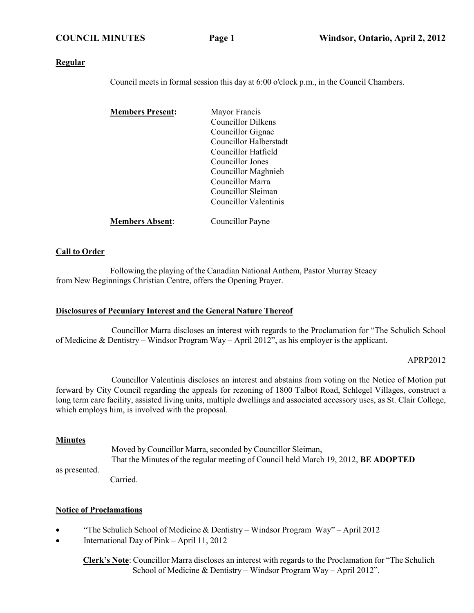#### **Regular**

Council meets in formal session this day at 6:00 o'clock p.m., in the Council Chambers.

| <b>Members Present:</b> | Mayor Francis             |
|-------------------------|---------------------------|
|                         | <b>Councillor Dilkens</b> |
|                         | Councillor Gignac         |
|                         | Councillor Halberstadt    |
|                         | Councillor Hatfield       |
|                         | Councillor Jones          |
|                         | Councillor Maghnieh       |
|                         | Councillor Marra          |
|                         | Councillor Sleiman        |
|                         | Councillor Valentinis     |
| <b>Members Absent:</b>  | Councillor Payne          |

#### **Call to Order**

Following the playing of the Canadian National Anthem, Pastor Murray Steacy from New Beginnings Christian Centre, offers the Opening Prayer.

#### **Disclosures of Pecuniary Interest and the General Nature Thereof**

Councillor Marra discloses an interest with regards to the Proclamation for "The Schulich School of Medicine & Dentistry – Windsor Program Way – April 2012", as his employer is the applicant.

#### APRP2012

Councillor Valentinis discloses an interest and abstains from voting on the Notice of Motion put forward by City Council regarding the appeals for rezoning of 1800 Talbot Road, Schlegel Villages, construct a long term care facility, assisted living units, multiple dwellings and associated accessory uses, as St. Clair College, which employs him, is involved with the proposal.

#### **Minutes**

as presented. Moved by Councillor Marra, seconded by Councillor Sleiman, That the Minutes of the regular meeting of Council held March 19, 2012, **BE ADOPTED**

Carried.

#### **Notice of Proclamations**

- "The Schulich School of Medicine & Dentistry Windsor Program Way" April 2012
- International Day of Pink April 11, 2012

**Clerk's Note**: Councillor Marra discloses an interest with regards to the Proclamation for "The Schulich School of Medicine & Dentistry – Windsor Program Way – April 2012".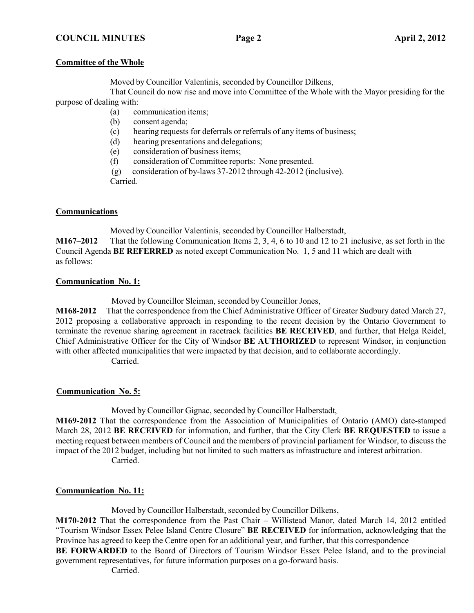#### **Committee of the Whole**

Moved by Councillor Valentinis, seconded by Councillor Dilkens,

That Council do now rise and move into Committee of the Whole with the Mayor presiding for the purpose of dealing with:

- (a) communication items;
- (b) consent agenda;
- (c) hearing requests for deferrals or referrals of any items of business;
- (d) hearing presentations and delegations;
- (e) consideration of business items;
- (f) consideration of Committee reports: None presented.
- (g) consideration of by-laws 37-2012 through 42-2012 (inclusive).

Carried.

## **Communications**

Moved by Councillor Valentinis, seconded by Councillor Halberstadt,

**M167–2012** That the following Communication Items 2, 3, 4, 6 to 10 and 12 to 21 inclusive, as set forth in the Council Agenda **BE REFERRED** as noted except Communication No. 1, 5 and 11 which are dealt with as follows:

#### **Communication No. 1:**

Moved by Councillor Sleiman, seconded by Councillor Jones,

**M168-2012** That the correspondence from the Chief Administrative Officer of Greater Sudbury dated March 27, 2012 proposing a collaborative approach in responding to the recent decision by the Ontario Government to terminate the revenue sharing agreement in racetrack facilities **BE RECEIVED**, and further, that Helga Reidel, Chief Administrative Officer for the City of Windsor **BE AUTHORIZED** to represent Windsor, in conjunction with other affected municipalities that were impacted by that decision, and to collaborate accordingly. Carried.

## **Communication No. 5:**

Moved by Councillor Gignac, seconded by Councillor Halberstadt,

**M169-2012** That the correspondence from the Association of Municipalities of Ontario (AMO) date-stamped March 28, 2012 **BE RECEIVED** for information, and further, that the City Clerk **BE REQUESTED** to issue a meeting request between members of Council and the members of provincial parliament for Windsor, to discuss the impact of the 2012 budget, including but not limited to such matters as infrastructure and interest arbitration. Carried.

## **Communication No. 11:**

Moved by Councillor Halberstadt, seconded by Councillor Dilkens,

**M170-2012** That the correspondence from the Past Chair – Willistead Manor, dated March 14, 2012 entitled "Tourism Windsor Essex Pelee Island Centre Closure" **BE RECEIVED** for information, acknowledging that the Province has agreed to keep the Centre open for an additional year, and further, that this correspondence

**BE FORWARDED** to the Board of Directors of Tourism Windsor Essex Pelee Island, and to the provincial government representatives, for future information purposes on a go-forward basis.

Carried.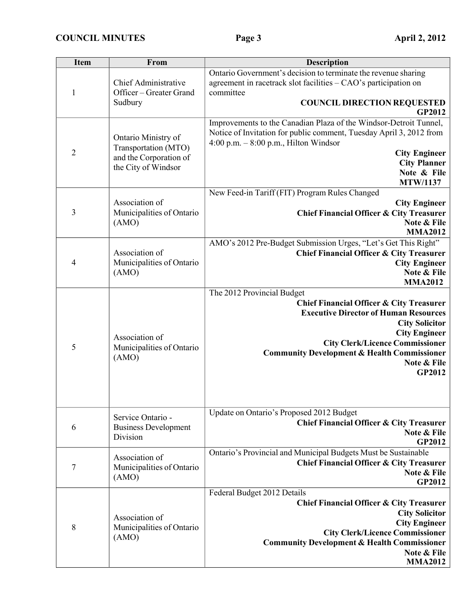| <b>Item</b>    | From                                                                                         | <b>Description</b>                                                                                                                                                                                                                                                                                                     |
|----------------|----------------------------------------------------------------------------------------------|------------------------------------------------------------------------------------------------------------------------------------------------------------------------------------------------------------------------------------------------------------------------------------------------------------------------|
| $\mathbf{1}$   | Chief Administrative<br>Officer - Greater Grand<br>Sudbury                                   | Ontario Government's decision to terminate the revenue sharing<br>agreement in racetrack slot facilities - CAO's participation on<br>committee<br><b>COUNCIL DIRECTION REQUESTED</b>                                                                                                                                   |
|                |                                                                                              | <b>GP2012</b><br>Improvements to the Canadian Plaza of the Windsor-Detroit Tunnel,                                                                                                                                                                                                                                     |
| $\overline{2}$ | Ontario Ministry of<br>Transportation (MTO)<br>and the Corporation of<br>the City of Windsor | Notice of Invitation for public comment, Tuesday April 3, 2012 from<br>$4:00$ p.m. $-8:00$ p.m., Hilton Windsor<br><b>City Engineer</b><br><b>City Planner</b><br>Note & File<br><b>MTW/1137</b>                                                                                                                       |
| 3              | Association of<br>Municipalities of Ontario<br>(AMO)                                         | New Feed-in Tariff (FIT) Program Rules Changed<br><b>City Engineer</b><br><b>Chief Financial Officer &amp; City Treasurer</b><br>Note & File<br><b>MMA2012</b>                                                                                                                                                         |
| 4              | Association of<br>Municipalities of Ontario<br>(AMO)                                         | AMO's 2012 Pre-Budget Submission Urges, "Let's Get This Right"<br><b>Chief Financial Officer &amp; City Treasurer</b><br><b>City Engineer</b><br>Note & File<br><b>MMA2012</b>                                                                                                                                         |
| 5              | Association of<br>Municipalities of Ontario<br>(AMO)                                         | The 2012 Provincial Budget<br><b>Chief Financial Officer &amp; City Treasurer</b><br><b>Executive Director of Human Resources</b><br><b>City Solicitor</b><br><b>City Engineer</b><br><b>City Clerk/Licence Commissioner</b><br><b>Community Development &amp; Health Commissioner</b><br>Note & File<br><b>GP2012</b> |
| 6              | Service Ontario -<br><b>Business Development</b><br>Division                                 | Update on Ontario's Proposed 2012 Budget<br><b>Chief Financial Officer &amp; City Treasurer</b><br>Note & File<br><b>GP2012</b>                                                                                                                                                                                        |
| 7              | Association of<br>Municipalities of Ontario<br>(AMO)                                         | Ontario's Provincial and Municipal Budgets Must be Sustainable<br><b>Chief Financial Officer &amp; City Treasurer</b><br>Note & File<br><b>GP2012</b>                                                                                                                                                                  |
| 8              | Association of<br>Municipalities of Ontario<br>(AMO)                                         | Federal Budget 2012 Details<br><b>Chief Financial Officer &amp; City Treasurer</b><br><b>City Solicitor</b><br><b>City Engineer</b><br><b>City Clerk/Licence Commissioner</b><br><b>Community Development &amp; Health Commissioner</b><br>Note & File<br><b>MMA2012</b>                                               |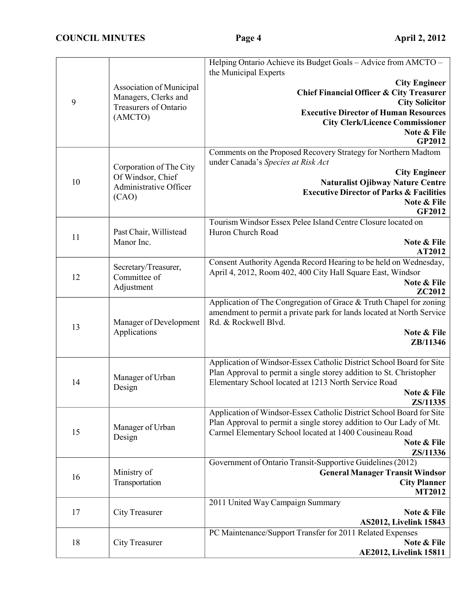|    |                            | Helping Ontario Achieve its Budget Goals - Advice from AMCTO -<br>the Municipal Experts                                         |
|----|----------------------------|---------------------------------------------------------------------------------------------------------------------------------|
|    |                            | <b>City Engineer</b>                                                                                                            |
|    | Association of Municipal   | <b>Chief Financial Officer &amp; City Treasurer</b>                                                                             |
| 9  | Managers, Clerks and       | <b>City Solicitor</b>                                                                                                           |
|    | Treasurers of Ontario      | <b>Executive Director of Human Resources</b>                                                                                    |
|    | (AMCTO)                    | <b>City Clerk/Licence Commissioner</b>                                                                                          |
|    |                            | Note & File                                                                                                                     |
|    |                            | GP2012                                                                                                                          |
|    |                            | Comments on the Proposed Recovery Strategy for Northern Madtom                                                                  |
|    | Corporation of The City    | under Canada's Species at Risk Act                                                                                              |
| 10 | Of Windsor, Chief          | <b>City Engineer</b><br>Naturalist Ojibway Nature Centre                                                                        |
|    | Administrative Officer     | <b>Executive Director of Parks &amp; Facilities</b>                                                                             |
|    | (CAO)                      | Note & File                                                                                                                     |
|    |                            | <b>GF2012</b>                                                                                                                   |
|    |                            | Tourism Windsor Essex Pelee Island Centre Closure located on                                                                    |
| 11 | Past Chair, Willistead     | Huron Church Road                                                                                                               |
|    | Manor Inc.                 | Note & File                                                                                                                     |
|    |                            | AT2012                                                                                                                          |
|    | Secretary/Treasurer,       | Consent Authority Agenda Record Hearing to be held on Wednesday,<br>April 4, 2012, Room 402, 400 City Hall Square East, Windsor |
| 12 | Committee of               | Note & File                                                                                                                     |
|    | Adjustment                 | <b>ZC2012</b>                                                                                                                   |
|    |                            | Application of The Congregation of Grace & Truth Chapel for zoning                                                              |
|    |                            | amendment to permit a private park for lands located at North Service                                                           |
| 13 | Manager of Development     | Rd. & Rockwell Blvd.                                                                                                            |
|    | Applications               | Note & File                                                                                                                     |
|    |                            | ZB/11346                                                                                                                        |
|    |                            | Application of Windsor-Essex Catholic District School Board for Site                                                            |
|    |                            | Plan Approval to permit a single storey addition to St. Christopher                                                             |
| 14 | Manager of Urban<br>Design | Elementary School located at 1213 North Service Road                                                                            |
|    |                            | Note & File                                                                                                                     |
|    |                            | ZS/11335                                                                                                                        |
|    |                            | Application of Windsor-Essex Catholic District School Board for Site                                                            |
| 15 | Manager of Urban           | Plan Approval to permit a single storey addition to Our Lady of Mt.<br>Carmel Elementary School located at 1400 Cousineau Road  |
|    | Design                     | Note & File                                                                                                                     |
|    |                            | ZS/11336                                                                                                                        |
|    |                            | Government of Ontario Transit-Supportive Guidelines (2012)                                                                      |
| 16 | Ministry of                | <b>General Manager Transit Windsor</b>                                                                                          |
|    | Transportation             | <b>City Planner</b>                                                                                                             |
|    |                            | <b>MT2012</b>                                                                                                                   |
| 17 | <b>City Treasurer</b>      | 2011 United Way Campaign Summary                                                                                                |
|    |                            | Note & File<br><b>AS2012, Livelink 15843</b>                                                                                    |
|    |                            | PC Maintenance/Support Transfer for 2011 Related Expenses                                                                       |
| 18 | <b>City Treasurer</b>      | Note & File                                                                                                                     |
|    |                            | <b>AE2012, Livelink 15811</b>                                                                                                   |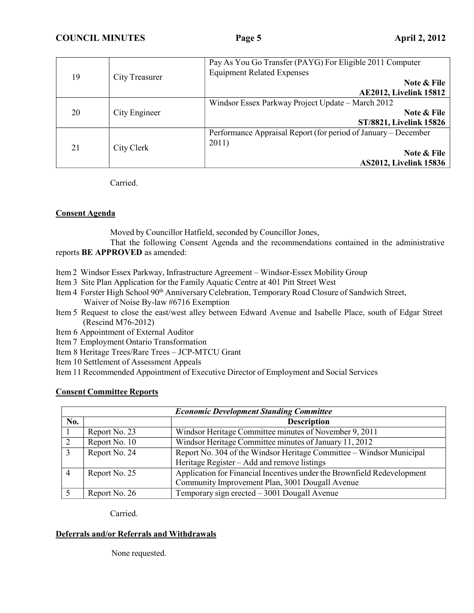| 19                  | <b>City Treasurer</b>                             | Pay As You Go Transfer (PAYG) For Eligible 2011 Computer<br><b>Equipment Related Expenses</b> |
|---------------------|---------------------------------------------------|-----------------------------------------------------------------------------------------------|
|                     |                                                   | Note & File                                                                                   |
|                     |                                                   | <b>AE2012, Livelink 15812</b>                                                                 |
| 20<br>City Engineer | Windsor Essex Parkway Project Update – March 2012 |                                                                                               |
|                     |                                                   | Note & File                                                                                   |
|                     |                                                   | ST/8821, Livelink 15826                                                                       |
|                     |                                                   | Performance Appraisal Report (for period of January – December                                |
| 21                  | City Clerk                                        | 2011)                                                                                         |
|                     |                                                   | Note & File                                                                                   |
|                     |                                                   | <b>AS2012, Livelink 15836</b>                                                                 |

Carried.

## **Consent Agenda**

Moved by Councillor Hatfield, seconded by Councillor Jones,

That the following Consent Agenda and the recommendations contained in the administrative reports **BE APPROVED** as amended:

- Item 2 Windsor Essex Parkway, Infrastructure Agreement Windsor-Essex Mobility Group
- Item 3 Site Plan Application for the Family Aquatic Centre at 401 Pitt Street West
- Item 4 Forster High School 90th Anniversary Celebration, Temporary Road Closure of Sandwich Street, Waiver of Noise By-law #6716 Exemption
- Item 5 Request to close the east/west alley between Edward Avenue and Isabelle Place, south of Edgar Street (Rescind M76-2012)
- Item 6 Appointment of External Auditor
- Item 7 Employment Ontario Transformation
- Item 8 Heritage Trees/Rare Trees JCP-MTCU Grant
- Item 10 Settlement of Assessment Appeals
- Item 11 Recommended Appointment of Executive Director of Employment and Social Services

## **Consent Committee Reports**

| <b>Economic Development Standing Committee</b> |               |                                                                                                                            |
|------------------------------------------------|---------------|----------------------------------------------------------------------------------------------------------------------------|
| No.                                            |               | <b>Description</b>                                                                                                         |
|                                                | Report No. 23 | Windsor Heritage Committee minutes of November 9, 2011                                                                     |
|                                                | Report No. 10 | Windsor Heritage Committee minutes of January 11, 2012                                                                     |
| 3                                              | Report No. 24 | Report No. 304 of the Windsor Heritage Committee - Windsor Municipal<br>Heritage Register – Add and remove listings        |
|                                                | Report No. 25 | Application for Financial Incentives under the Brownfield Redevelopment<br>Community Improvement Plan, 3001 Dougall Avenue |
|                                                | Report No. 26 | Temporary sign erected $-3001$ Dougall Avenue                                                                              |

Carried.

# **Deferrals and/or Referrals and Withdrawals**

None requested.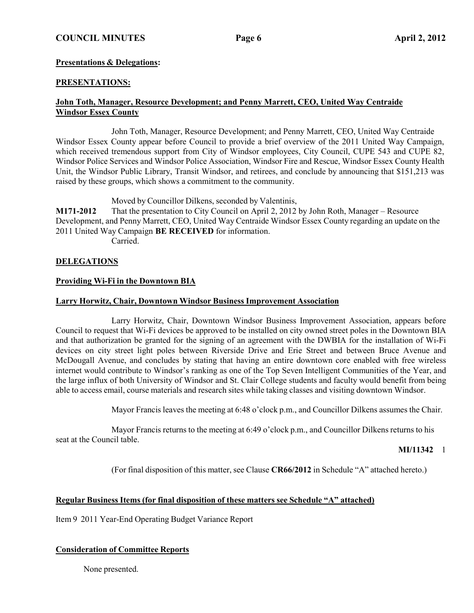## **COUNCIL MINUTES Page 6 April 2, 2012**

#### **Presentations & Delegations:**

#### **PRESENTATIONS:**

#### **John Toth, Manager, Resource Development; and Penny Marrett, CEO, United Way Centraide Windsor Essex County**

John Toth, Manager, Resource Development; and Penny Marrett, CEO, United Way Centraide Windsor Essex County appear before Council to provide a brief overview of the 2011 United Way Campaign, which received tremendous support from City of Windsor employees, City Council, CUPE 543 and CUPE 82, Windsor Police Services and Windsor Police Association, Windsor Fire and Rescue, Windsor Essex County Health Unit, the Windsor Public Library, Transit Windsor, and retirees, and conclude by announcing that \$151,213 was raised by these groups, which shows a commitment to the community.

Moved by Councillor Dilkens, seconded by Valentinis,

**M171-2012** That the presentation to City Council on April 2, 2012 by John Roth, Manager – Resource Development, and Penny Marrett, CEO, United Way Centraide Windsor Essex County regarding an update on the 2011 United Way Campaign **BE RECEIVED** for information.

Carried.

#### **DELEGATIONS**

#### **Providing Wi-Fi in the Downtown BIA**

#### **Larry Horwitz, Chair, Downtown Windsor Business Improvement Association**

Larry Horwitz, Chair, Downtown Windsor Business Improvement Association, appears before Council to request that Wi-Fi devices be approved to be installed on city owned street poles in the Downtown BIA and that authorization be granted for the signing of an agreement with the DWBIA for the installation of Wi-Fi devices on city street light poles between Riverside Drive and Erie Street and between Bruce Avenue and McDougall Avenue, and concludes by stating that having an entire downtown core enabled with free wireless internet would contribute to Windsor's ranking as one of the Top Seven Intelligent Communities of the Year, and the large influx of both University of Windsor and St. Clair College students and faculty would benefit from being able to access email, course materials and research sites while taking classes and visiting downtown Windsor.

Mayor Francis leaves the meeting at 6:48 o'clock p.m., and Councillor Dilkens assumes the Chair.

Mayor Francis returns to the meeting at 6:49 o'clock p.m., and Councillor Dilkens returns to his seat at the Council table.

**MI/11342** 1

(For final disposition of this matter, see Clause **CR66/2012** in Schedule "A" attached hereto.)

#### **Regular Business Items (for final disposition of these matters see Schedule "A" attached)**

Item 9 2011 Year-End Operating Budget Variance Report

#### **Consideration of Committee Reports**

None presented.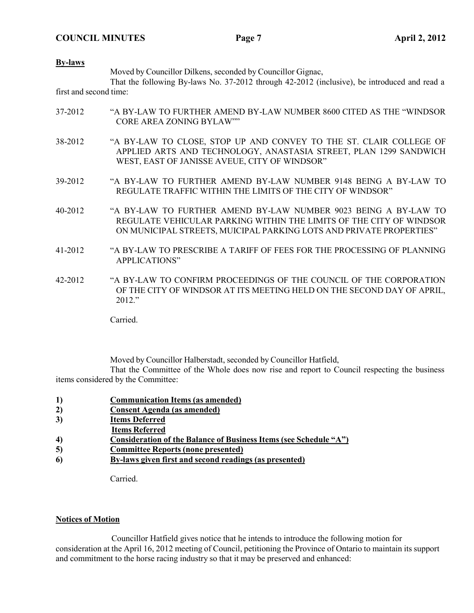#### **By-laws**

Moved by Councillor Dilkens, seconded by Councillor Gignac,

That the following By-laws No. 37-2012 through 42-2012 (inclusive), be introduced and read a first and second time:

- 37-2012 "A BY-LAW TO FURTHER AMEND BY-LAW NUMBER 8600 CITED AS THE "WINDSOR CORE AREA ZONING BYLAW""
- 38-2012 "A BY-LAW TO CLOSE, STOP UP AND CONVEY TO THE ST. CLAIR COLLEGE OF APPLIED ARTS AND TECHNOLOGY, ANASTASIA STREET, PLAN 1299 SANDWICH WEST, EAST OF JANISSE AVEUE, CITY OF WINDSOR"
- 39-2012 "A BY-LAW TO FURTHER AMEND BY-LAW NUMBER 9148 BEING A BY-LAW TO REGULATE TRAFFIC WITHIN THE LIMITS OF THE CITY OF WINDSOR"
- 40-2012 "A BY-LAW TO FURTHER AMEND BY-LAW NUMBER 9023 BEING A BY-LAW TO REGULATE VEHICULAR PARKING WITHIN THE LIMITS OF THE CITY OF WINDSOR ON MUNICIPAL STREETS, MUICIPAL PARKING LOTS AND PRIVATE PROPERTIES"
- 41-2012 "A BY-LAW TO PRESCRIBE A TARIFF OF FEES FOR THE PROCESSING OF PLANNING APPLICATIONS"
- 42-2012 "A BY-LAW TO CONFIRM PROCEEDINGS OF THE COUNCIL OF THE CORPORATION OF THE CITY OF WINDSOR AT ITS MEETING HELD ON THE SECOND DAY OF APRIL, 2012."

Carried.

Moved by Councillor Halberstadt, seconded by Councillor Hatfield,

That the Committee of the Whole does now rise and report to Council respecting the business items considered by the Committee:

- **1) Communication Items (as amended)**
- **2) Consent Agenda (as amended)**
- **3) Items Deferred**
- **Items Referred**
- **4) Consideration of the Balance of Business Items (see Schedule "A")**
- **5) Committee Reports (none presented)**
- **6) By-laws given first and second readings (as presented)**

Carried.

#### **Notices of Motion**

Councillor Hatfield gives notice that he intends to introduce the following motion for consideration at the April 16, 2012 meeting of Council, petitioning the Province of Ontario to maintain its support and commitment to the horse racing industry so that it may be preserved and enhanced: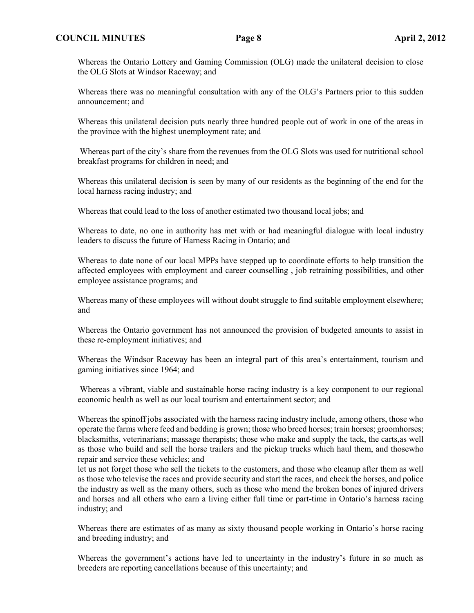#### **COUNCIL MINUTES Page 8 April 2, 2012**

Whereas the Ontario Lottery and Gaming Commission (OLG) made the unilateral decision to close the OLG Slots at Windsor Raceway; and

Whereas there was no meaningful consultation with any of the OLG's Partners prior to this sudden announcement; and

Whereas this unilateral decision puts nearly three hundred people out of work in one of the areas in the province with the highest unemployment rate; and

Whereas part of the city's share from the revenues from the OLG Slots was used for nutritional school breakfast programs for children in need; and

Whereas this unilateral decision is seen by many of our residents as the beginning of the end for the local harness racing industry; and

Whereas that could lead to the loss of another estimated two thousand local jobs; and

Whereas to date, no one in authority has met with or had meaningful dialogue with local industry leaders to discuss the future of Harness Racing in Ontario; and

Whereas to date none of our local MPPs have stepped up to coordinate efforts to help transition the affected employees with employment and career counselling , job retraining possibilities, and other employee assistance programs; and

Whereas many of these employees will without doubt struggle to find suitable employment elsewhere; and

Whereas the Ontario government has not announced the provision of budgeted amounts to assist in these re-employment initiatives; and

Whereas the Windsor Raceway has been an integral part of this area's entertainment, tourism and gaming initiatives since 1964; and

Whereas a vibrant, viable and sustainable horse racing industry is a key component to our regional economic health as well as our local tourism and entertainment sector; and

Whereas the spinoff jobs associated with the harness racing industry include, among others, those who operate the farms where feed and bedding is grown; those who breed horses; train horses; groomhorses; blacksmiths, veterinarians; massage therapists; those who make and supply the tack, the carts,as well as those who build and sell the horse trailers and the pickup trucks which haul them, and thosewho repair and service these vehicles; and

let us not forget those who sell the tickets to the customers, and those who cleanup after them as well as those who televise the races and provide security and start the races, and check the horses, and police the industry as well as the many others, such as those who mend the broken bones of injured drivers and horses and all others who earn a living either full time or part-time in Ontario's harness racing industry; and

Whereas there are estimates of as many as sixty thousand people working in Ontario's horse racing and breeding industry; and

Whereas the government's actions have led to uncertainty in the industry's future in so much as breeders are reporting cancellations because of this uncertainty; and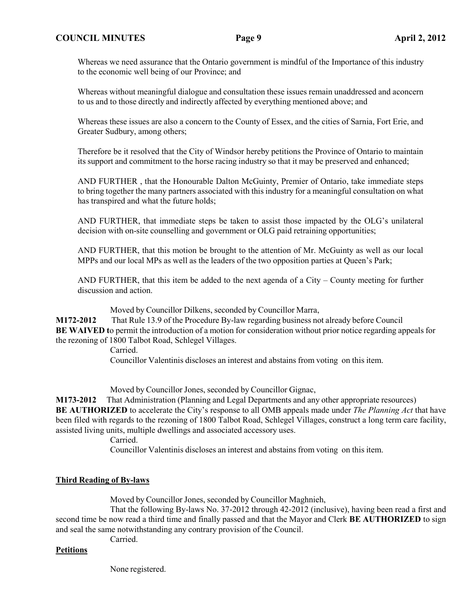#### **COUNCIL MINUTES Page 9 April 2, 2012**

Whereas we need assurance that the Ontario government is mindful of the Importance of this industry to the economic well being of our Province; and

Whereas without meaningful dialogue and consultation these issues remain unaddressed and aconcern to us and to those directly and indirectly affected by everything mentioned above; and

Whereas these issues are also a concern to the County of Essex, and the cities of Sarnia, Fort Erie, and Greater Sudbury, among others;

Therefore be it resolved that the City of Windsor hereby petitions the Province of Ontario to maintain its support and commitment to the horse racing industry so that it may be preserved and enhanced;

AND FURTHER , that the Honourable Dalton McGuinty, Premier of Ontario, take immediate steps to bring together the many partners associated with this industry for a meaningful consultation on what has transpired and what the future holds;

AND FURTHER, that immediate steps be taken to assist those impacted by the OLG's unilateral decision with on-site counselling and government or OLG paid retraining opportunities;

AND FURTHER, that this motion be brought to the attention of Mr. McGuinty as well as our local MPPs and our local MPs as well as the leaders of the two opposition parties at Queen's Park;

AND FURTHER, that this item be added to the next agenda of a City – County meeting for further discussion and action.

Moved by Councillor Dilkens, seconded by Councillor Marra,

**M172-2012** That Rule 13.9 of the Procedure By-law regarding business not already before Council **BE WAIVED** to permit the introduction of a motion for consideration without prior notice regarding appeals for the rezoning of 1800 Talbot Road, Schlegel Villages.

Carried.

Councillor Valentinis discloses an interest and abstains from voting on this item.

Moved by Councillor Jones, seconded by Councillor Gignac,

**M173-2012** That Administration (Planning and Legal Departments and any other appropriate resources) **BE AUTHORIZED** to accelerate the City's response to all OMB appeals made under *The Planning Act* that have been filed with regards to the rezoning of 1800 Talbot Road, Schlegel Villages, construct a long term care facility, assisted living units, multiple dwellings and associated accessory uses.

Carried.

Councillor Valentinis discloses an interest and abstains from voting on this item.

#### **Third Reading of By-laws**

Moved by Councillor Jones, seconded by Councillor Maghnieh,

That the following By-laws No. 37-2012 through 42-2012 (inclusive), having been read a first and second time be now read a third time and finally passed and that the Mayor and Clerk **BE AUTHORIZED** to sign and seal the same notwithstanding any contrary provision of the Council.

Carried.

#### **Petitions**

None registered.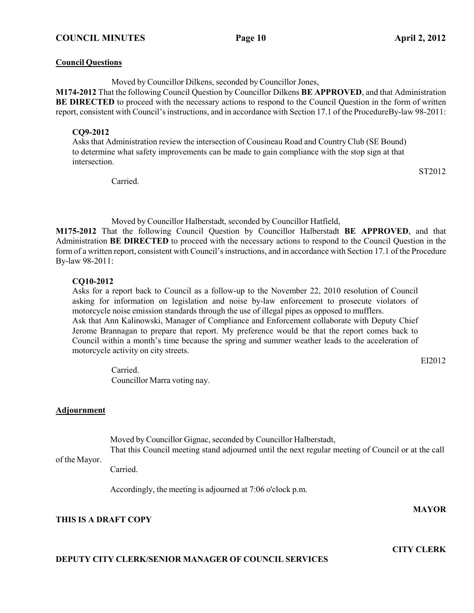#### **Council Questions**

Moved by Councillor Dilkens, seconded by Councillor Jones,

**M174-2012** That the following Council Question by Councillor Dilkens **BE APPROVED**, and that Administration **BE DIRECTED** to proceed with the necessary actions to respond to the Council Question in the form of written report, consistent with Council'sinstructions, and in accordance with Section 17.1 of the ProcedureBy-law 98-2011:

#### **CQ9-2012**

Asks that Administration review the intersection of Cousineau Road and CountryClub (SE Bound) to determine what safety improvements can be made to gain compliance with the stop sign at that intersection.

Carried.

ST2012

Moved by Councillor Halberstadt, seconded by Councillor Hatfield,

**M175-2012** That the following Council Question by Councillor Halberstadt **BE APPROVED**, and that Administration **BE DIRECTED** to proceed with the necessary actions to respond to the Council Question in the form of a written report, consistent with Council's instructions, and in accordance with Section 17.1 of the Procedure By-law 98-2011:

## **CQ10-2012**

Asks for a report back to Council as a follow-up to the November 22, 2010 resolution of Council asking for information on legislation and noise by-law enforcement to prosecute violators of motorcycle noise emission standards through the use of illegal pipes as opposed to mufflers. Ask that Ann Kalinowski, Manager of Compliance and Enforcement collaborate with Deputy Chief Jerome Brannagan to prepare that report. My preference would be that the report comes back to Council within a month's time because the spring and summer weather leads to the acceleration of motorcycle activity on city streets.

EI2012

Carried. Councillor Marra voting nay.

## **Adjournment**

Moved by Councillor Gignac, seconded by Councillor Halberstadt, That this Council meeting stand adjourned until the next regular meeting of Council or at the call

## of the Mayor.

Carried.

Accordingly, the meeting is adjourned at 7:06 o'clock p.m.

# **THIS IS A DRAFT COPY**

## **DEPUTY CITY CLERK/SENIOR MANAGER OF COUNCIL SERVICES**

**CITY CLERK**

**MAYOR**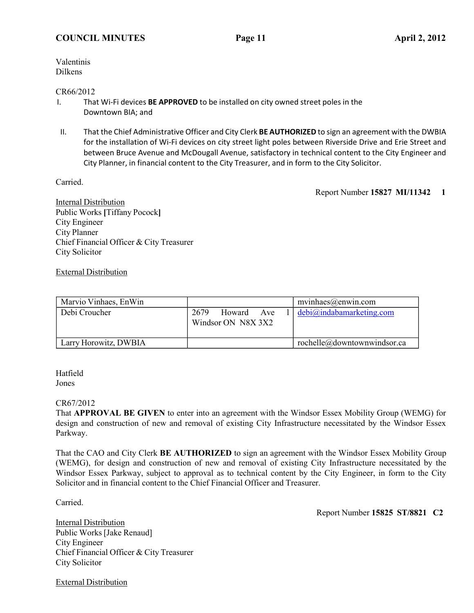Valentinis Dilkens

#### CR66/2012

- I. That Wi-Fi devices **BE APPROVED** to be installed on city owned street poles in the Downtown BIA; and
- II. That the Chief Administrative Officer and City Clerk **BE AUTHORIZED** to sign an agreement with the DWBIA for the installation of Wi-Fi devices on city street light poles between Riverside Drive and Erie Street and between Bruce Avenue and McDougall Avenue, satisfactory in technical content to the City Engineer and City Planner, in financial content to the City Treasurer, and in form to the City Solicitor.

Carried.

Report Number **15827 MI/11342 1**

Internal Distribution Public Works **[**Tiffany Pocock**]** City Engineer City Planner Chief Financial Officer & City Treasurer City Solicitor

## External Distribution

| Marvio Vinhaes, EnWin |                                          | $mvinhaes(\omega)$ enwin.com                        |
|-----------------------|------------------------------------------|-----------------------------------------------------|
| Debi Croucher         | 2679<br>Howard Ave<br>Windsor ON N8X 3X2 | $1   \text{debi}(\hat{\omega})$ indabamarketing.com |
| Larry Horowitz, DWBIA |                                          | rochelle@downtownwindsor.ca                         |

Hatfield Jones

## CR67/2012

That **APPROVAL BE GIVEN** to enter into an agreement with the Windsor Essex Mobility Group (WEMG) for design and construction of new and removal of existing City Infrastructure necessitated by the Windsor Essex Parkway.

That the CAO and City Clerk **BE AUTHORIZED** to sign an agreement with the Windsor Essex Mobility Group (WEMG), for design and construction of new and removal of existing City Infrastructure necessitated by the Windsor Essex Parkway, subject to approval as to technical content by the City Engineer, in form to the City Solicitor and in financial content to the Chief Financial Officer and Treasurer.

Carried.

Report Number **15825 ST/8821 C2**

Internal Distribution Public Works [Jake Renaud] City Engineer Chief Financial Officer & City Treasurer City Solicitor

External Distribution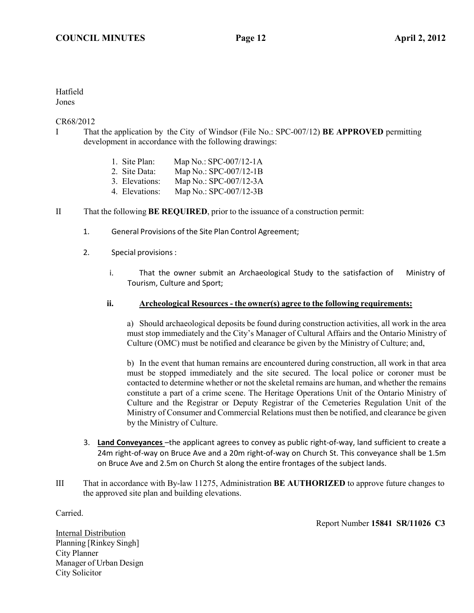#### Hatfield Jones

#### CR68/2012

- I That the application by the City of Windsor (File No.: SPC-007/12) **BE APPROVED** permitting development in accordance with the following drawings:
	- 1. Site Plan: Map No.: SPC-007/12-1A
	- 2. Site Data: Map No.: SPC-007/12-1B
	- 3. Elevations: Map No.: SPC-007/12-3A
	- 4. Elevations: Map No.: SPC-007/12-3B
- II That the following **BE REQUIRED**, prior to the issuance of a construction permit:
	- 1. General Provisions of the Site Plan Control Agreement;
	- 2. Special provisions :
		- i. That the owner submit an Archaeological Study to the satisfaction of Ministry of Tourism, Culture and Sport;

#### **ii. Archeological Resources - the owner(s) agree to the following requirements:**

a) Should archaeological deposits be found during construction activities, all work in the area must stop immediately and the City's Manager of Cultural Affairs and the Ontario Ministry of Culture (OMC) must be notified and clearance be given by the Ministry of Culture; and,

b) In the event that human remains are encountered during construction, all work in that area must be stopped immediately and the site secured. The local police or coroner must be contacted to determine whether or not the skeletal remains are human, and whether the remains constitute a part of a crime scene. The Heritage Operations Unit of the Ontario Ministry of Culture and the Registrar or Deputy Registrar of the Cemeteries Regulation Unit of the Ministry of Consumer and Commercial Relations must then be notified, and clearance be given by the Ministry of Culture.

- 3. **Land Conveyances** –the applicant agrees to convey as public right-of-way, land sufficient to create a 24m right-of-way on Bruce Ave and a 20m right-of-way on Church St. This conveyance shall be 1.5m on Bruce Ave and 2.5m on Church St along the entire frontages of the subject lands.
- III That in accordance with By-law 11275, Administration **BE AUTHORIZED** to approve future changes to the approved site plan and building elevations.

Carried.

Report Number **15841 SR/11026 C3**

Internal Distribution Planning [Rinkey Singh] City Planner Manager of Urban Design City Solicitor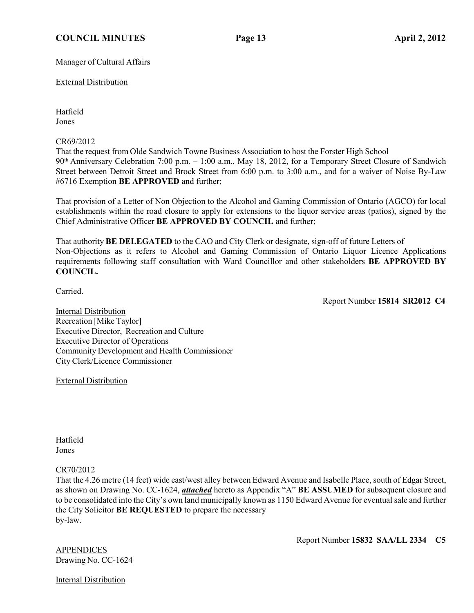## **COUNCIL MINUTES Page 13 April 2, 2012**

Manager of Cultural Affairs

External Distribution

Hatfield Jones

CR69/2012

That the request from Olde Sandwich Towne Business Association to host the Forster High School 90th Anniversary Celebration 7:00 p.m. – 1:00 a.m., May 18, 2012, for a Temporary Street Closure of Sandwich Street between Detroit Street and Brock Street from 6:00 p.m. to 3:00 a.m., and for a waiver of Noise By-Law #6716 Exemption **BE APPROVED** and further;

That provision of a Letter of Non Objection to the Alcohol and Gaming Commission of Ontario (AGCO) for local establishments within the road closure to apply for extensions to the liquor service areas (patios), signed by the Chief Administrative Officer **BE APPROVED BY COUNCIL** and further;

That authority **BE DELEGATED** to the CAO and City Clerk or designate, sign-off of future Letters of Non-Objections as it refers to Alcohol and Gaming Commission of Ontario Liquor Licence Applications requirements following staff consultation with Ward Councillor and other stakeholders **BE APPROVED BY COUNCIL.**

Carried.

Report Number **15814 SR2012 C4**

Internal Distribution Recreation [Mike Taylor] Executive Director, Recreation and Culture Executive Director of Operations Community Development and Health Commissioner City Clerk/Licence Commissioner

External Distribution

Hatfield Jones

## CR70/2012

That the 4.26 metre (14 feet) wide east/west alley between Edward Avenue and Isabelle Place, south of Edgar Street, as shown on Drawing No. CC-1624, *attached* hereto as Appendix "A" **BE ASSUMED** for subsequent closure and to be consolidated into the City's own land municipally known as 1150 Edward Avenue for eventual sale and further the City Solicitor **BE REQUESTED** to prepare the necessary by-law.

APPENDICES Drawing No. CC-1624 Report Number **15832 SAA/LL 2334 C5**

Internal Distribution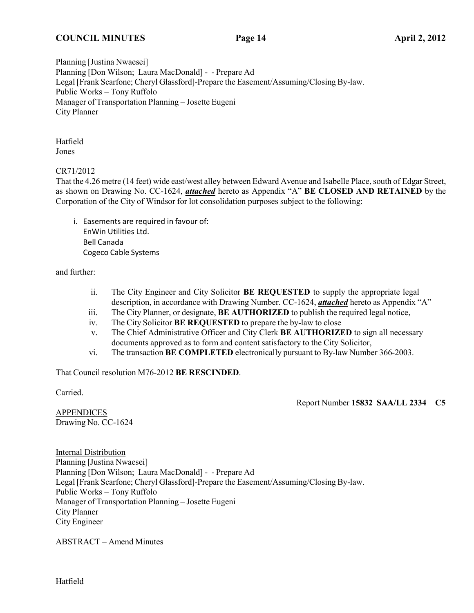#### **COUNCIL MINUTES Page 14 April 2, 2012**

Planning [Justina Nwaesei] Planning [Don Wilson; Laura MacDonald] - - Prepare Ad Legal [Frank Scarfone; Cheryl Glassford]-Prepare the Easement/Assuming/Closing By-law. Public Works – Tony Ruffolo Manager of Transportation Planning – Josette Eugeni City Planner

Hatfield Jones

CR71/2012

That the 4.26 metre (14 feet) wide east/west alley between Edward Avenue and Isabelle Place, south of Edgar Street, as shown on Drawing No. CC-1624, *attached* hereto as Appendix "A" **BE CLOSED AND RETAINED** by the Corporation of the City of Windsor for lot consolidation purposes subject to the following:

i. Easements are required in favour of: EnWin Utilities Ltd. Bell Canada Cogeco Cable Systems

and further:

- ii. The City Engineer and City Solicitor **BE REQUESTED** to supply the appropriate legal description, in accordance with Drawing Number. CC-1624, *attached* hereto as Appendix "A"
- iii. The City Planner, or designate, **BE AUTHORIZED** to publish the required legal notice,
- iv. The City Solicitor **BE REQUESTED** to prepare the by-law to close
- v. The Chief Administrative Officer and City Clerk **BE AUTHORIZED** to sign all necessary documents approved as to form and content satisfactory to the City Solicitor,
- vi. The transaction **BE COMPLETED** electronically pursuant to By-law Number 366-2003.

That Council resolution M76-2012 **BE RESCINDED**.

Carried.

Report Number **15832 SAA/LL 2334 C5**

**APPENDICES** Drawing No. CC-1624

Internal Distribution Planning [Justina Nwaesei] Planning [Don Wilson; Laura MacDonald] - - Prepare Ad Legal [Frank Scarfone; Cheryl Glassford]-Prepare the Easement/Assuming/Closing By-law. Public Works – Tony Ruffolo Manager of Transportation Planning – Josette Eugeni City Planner City Engineer

ABSTRACT – Amend Minutes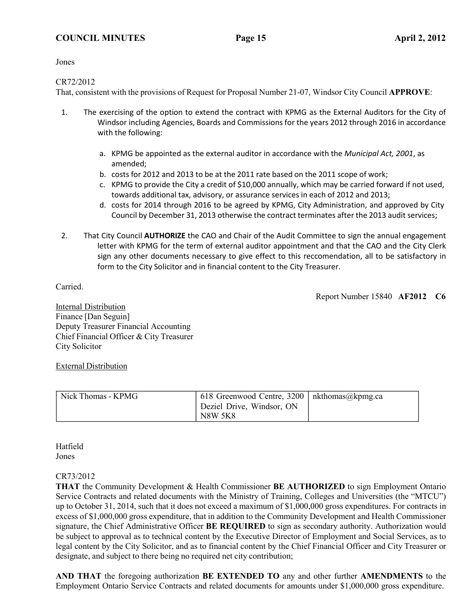Jones

## CR72/2012

That, consistent with the provisions of Request for Proposal Number 21-07, Windsor City Council **APPROVE**:

- 1. The exercising of the option to extend the contract with KPMG as the External Auditors for the City of Windsor including Agencies, Boards and Commissions for the years 2012 through 2016 in accordance with the following:
	- a. KPMG be appointed as the external auditor in accordance with the *Municipal Act, 2001*, as amended;
	- b. costs for 2012 and 2013 to be at the 2011 rate based on the 2011 scope of work;
	- c. KPMG to provide the City a credit of \$10,000 annually, which may be carried forward if not used, towards additional tax, advisory, or assurance services in each of 2012 and 2013;
	- d. costs for 2014 through 2016 to be agreed by KPMG, City Administration, and approved by City Council by December 31, 2013 otherwise the contract terminates after the 2013 audit services;
- 2. That City Council **AUTHORIZE** the CAO and Chair of the Audit Committee to sign the annual engagement letter with KPMG for the term of external auditor appointment and that the CAO and the City Clerk sign any other documents necessary to give effect to this reccomendation, all to be satisfactory in form to the City Solicitor and in financial content to the City Treasurer.

Carried.

Report Number 15840 **AF2012 C6**

Internal Distribution Finance [Dan Seguin] Deputy Treasurer Financial Accounting Chief Financial Officer & City Treasurer City Solicitor

## External Distribution

| Nick Thomas - KPMG | 618 Greenwood Centre, 3200   nkthomas@kpmg.ca<br>Deziel Drive, Windsor, ON<br><b>N8W 5K8</b> |  |
|--------------------|----------------------------------------------------------------------------------------------|--|
|--------------------|----------------------------------------------------------------------------------------------|--|

Hatfield Jones

## CR73/2012

**THAT** the Community Development & Health Commissioner **BE AUTHORIZED** to sign Employment Ontario Service Contracts and related documents with the Ministry of Training, Colleges and Universities (the "MTCU") up to October 31, 2014, such that it does not exceed a maximum of \$1,000,000 gross expenditures. For contracts in excess of \$1,000,000 gross expenditure, that in addition to the Community Development and Health Commissioner signature, the Chief Administrative Officer **BE REQUIRED** to sign as secondary authority. Authorization would be subject to approval as to technical content by the Executive Director of Employment and Social Services, as to legal content by the City Solicitor, and as to financial content by the Chief Financial Officer and City Treasurer or designate, and subject to there being no required net city contribution;

**AND THAT** the foregoing authorization **BE EXTENDED TO** any and other further **AMENDMENTS** to the Employment Ontario Service Contracts and related documents for amounts under \$1,000,000 gross expenditure.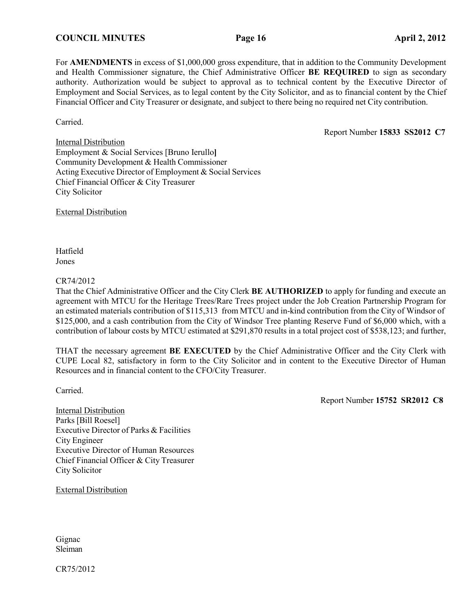For **AMENDMENTS** in excess of \$1,000,000 gross expenditure, that in addition to the Community Development and Health Commissioner signature, the Chief Administrative Officer **BE REQUIRED** to sign as secondary authority. Authorization would be subject to approval as to technical content by the Executive Director of Employment and Social Services, as to legal content by the City Solicitor, and as to financial content by the Chief Financial Officer and City Treasurer or designate, and subject to there being no required net City contribution.

Carried.

Report Number **15833 SS2012 C7**

Internal Distribution Employment & Social Services [Bruno Ierullo**]** Community Development & Health Commissioner Acting Executive Director of Employment & Social Services Chief Financial Officer & City Treasurer City Solicitor

External Distribution

Hatfield Jones

#### CR74/2012

That the Chief Administrative Officer and the City Clerk **BE AUTHORIZED** to apply for funding and execute an agreement with MTCU for the Heritage Trees/Rare Trees project under the Job Creation Partnership Program for an estimated materials contribution of \$115,313 from MTCU and in-kind contribution from the City of Windsor of \$125,000, and a cash contribution from the City of Windsor Tree planting Reserve Fund of \$6,000 which, with a contribution of labour costs by MTCU estimated at \$291,870 results in a total project cost of \$538,123; and further,

THAT the necessary agreement **BE EXECUTED** by the Chief Administrative Officer and the City Clerk with CUPE Local 82, satisfactory in form to the City Solicitor and in content to the Executive Director of Human Resources and in financial content to the CFO/City Treasurer.

Carried.

Report Number **15752 SR2012 C8**

Internal Distribution Parks [Bill Roesel] Executive Director of Parks & Facilities City Engineer Executive Director of Human Resources Chief Financial Officer & City Treasurer City Solicitor

External Distribution

Gignac Sleiman

CR75/2012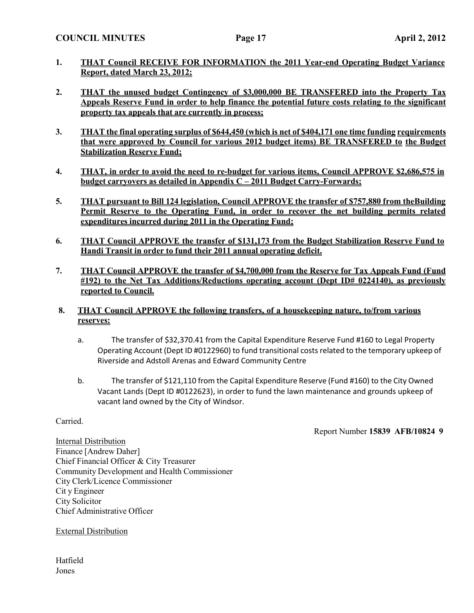- **1. THAT Council RECEIVE FOR INFORMATION the 2011 Year-end Operating Budget Variance Report, dated March 23, 2012;**
- **2. THAT the unused budget Contingency of \$3,000,000 BE TRANSFERED into the Property Tax Appeals Reserve Fund in order to help finance the potential future costs relating to the significant property tax appeals that are currently in process;**
- **3. THAT the final operating surplus of \$644,450 (which is net of \$404,171 one time funding requirements that were approved by Council for various 2012 budget items) BE TRANSFERED to the Budget Stabilization Reserve Fund;**
- **4. THAT, in order to avoid the need to re-budget for various items, Council APPROVE \$2,686,575 in budget carryovers as detailed in Appendix C – 2011 Budget Carry-Forwards;**
- **5. THAT pursuant to Bill 124 legislation, Council APPROVE the transfer of \$757,880 from theBuilding Permit Reserve to the Operating Fund, in order to recover the net building permits related expenditures incurred during 2011 in the Operating Fund;**
- **6. THAT Council APPROVE the transfer of \$131,173 from the Budget Stabilization Reserve Fund to Handi Transit in order to fund their 2011 annual operating deficit.**
- **7. THAT Council APPROVE the transfer of \$4,700,000 from the Reserve for Tax Appeals Fund (Fund #192) to the Net Tax Additions/Reductions operating account (Dept ID# 0224140), as previously reported to Council.**
- **8. THAT Council APPROVE the following transfers, of a housekeeping nature, to/from various reserves:**
	- a. The transfer of \$32,370.41 from the Capital Expenditure Reserve Fund #160 to Legal Property Operating Account (Dept ID #0122960) to fund transitional costs related to the temporary upkeep of Riverside and Adstoll Arenas and Edward Community Centre
	- b. The transfer of \$121,110 from the Capital Expenditure Reserve (Fund #160) to the City Owned Vacant Lands (Dept ID #0122623), in order to fund the lawn maintenance and grounds upkeep of vacant land owned by the City of Windsor.

Carried.

Report Number **15839 AFB/10824 9**

Internal Distribution Finance [Andrew Daher] Chief Financial Officer & City Treasurer Community Development and Health Commissioner City Clerk/Licence Commissioner Cit y Engineer City Solicitor Chief Administrative Officer

External Distribution

Hatfield Jones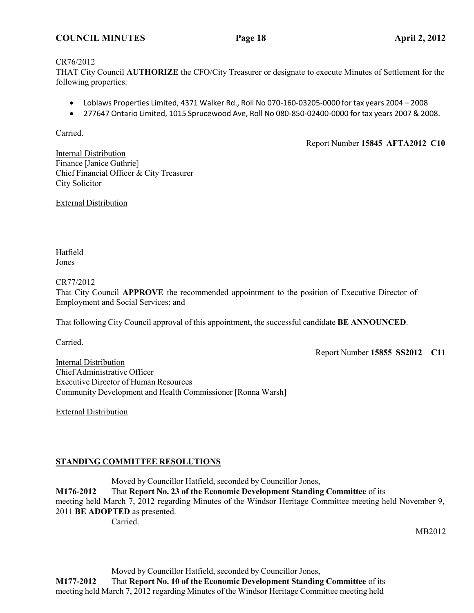#### **COUNCIL MINUTES Page 18 April 2, 2012**

#### CR76/2012

THAT City Council **AUTHORIZE** the CFO/City Treasurer or designate to execute Minutes of Settlement for the following properties:

- Loblaws Properties Limited, 4371 Walker Rd., Roll No 070-160-03205-0000 for tax years 2004 2008
- 277647 Ontario Limited, 1015 Sprucewood Ave, Roll No 080-850-02400-0000 for tax years 2007 & 2008.

Carried.

Report Number **15845 AFTA2012 C10**

**Internal Distribution** Finance [Janice Guthrie] Chief Financial Officer & City Treasurer City Solicitor

External Distribution

Hatfield Jones

CR77/2012

That City Council **APPROVE** the recommended appointment to the position of Executive Director of Employment and Social Services; and

That following City Council approval of this appointment, the successful candidate **BE ANNOUNCED**.

Carried.

Report Number **15855 SS2012 C11**

Internal Distribution Chief Administrative Officer Executive Director of Human Resources Community Development and Health Commissioner [Ronna Warsh]

External Distribution

## **STANDING COMMITTEE RESOLUTIONS**

Moved by Councillor Hatfield, seconded by Councillor Jones, **M176-2012** That **Report No. 23 of the Economic Development Standing Committee** of its meeting held March 7, 2012 regarding Minutes of the Windsor Heritage Committee meeting held November 9, 2011 **BE ADOPTED** as presented. Carried.

MB2012

Moved by Councillor Hatfield, seconded by Councillor Jones,

**M177-2012** That **Report No. 10 of the Economic Development Standing Committee** of its

meeting held March 7, 2012 regarding Minutes of the Windsor Heritage Committee meeting held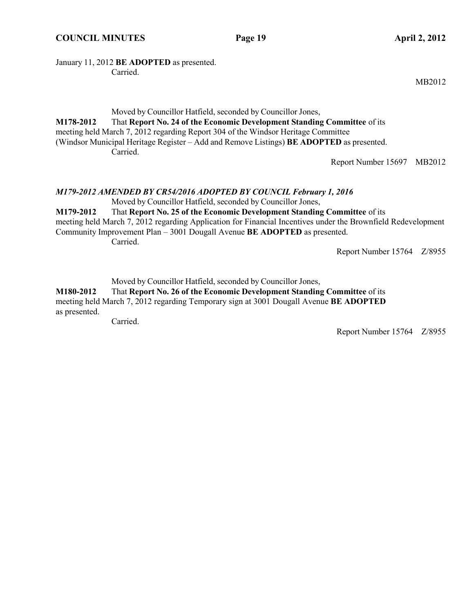#### January 11, 2012 **BE ADOPTED** as presented. Carried.

Moved by Councillor Hatfield, seconded by Councillor Jones, **M178-2012** That **Report No. 24 of the Economic Development Standing Committee** of its meeting held March 7, 2012 regarding Report 304 of the Windsor Heritage Committee (Windsor Municipal Heritage Register – Add and Remove Listings) **BE ADOPTED** as presented. Carried.

Report Number 15697 MB2012

#### *M179-2012 AMENDED BY CR54/2016 ADOPTED BY COUNCIL February 1, 2016* Moved by Councillor Hatfield, seconded by Councillor Jones,

**M179-2012** That **Report No. 25 of the Economic Development Standing Committee** of its meeting held March 7, 2012 regarding Application for Financial Incentives under the Brownfield Redevelopment Community Improvement Plan – 3001 Dougall Avenue **BE ADOPTED** as presented. Carried.

Report Number 15764 Z/8955

Moved by Councillor Hatfield, seconded by Councillor Jones,

**M180-2012** That **Report No. 26 of the Economic Development Standing Committee** of its meeting held March 7, 2012 regarding Temporary sign at 3001 Dougall Avenue **BE ADOPTED** as presented.

Carried.

Report Number 15764 Z/8955

MB2012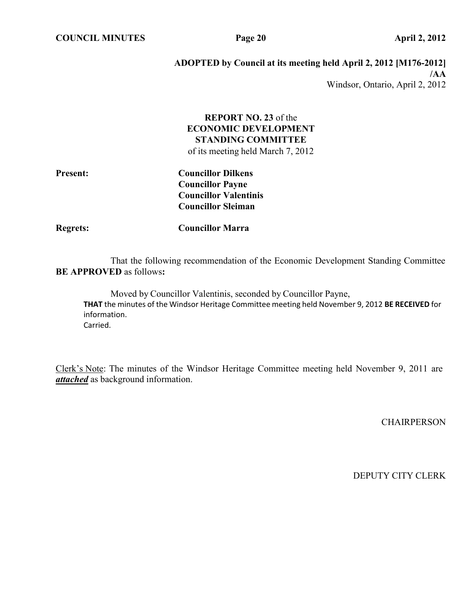**COUNCIL MINUTES Page 20 April 2, 2012**

# **ADOPTED by Council at its meeting held April 2, 2012 [M176-2012] /AA** Windsor, Ontario, April 2, 2012

# **REPORT NO. 23** of the **ECONOMIC DEVELOPMENT STANDING COMMITTEE**

of its meeting held March 7, 2012

| <b>Present:</b> | <b>Councillor Dilkens</b>    |
|-----------------|------------------------------|
|                 | <b>Councillor Payne</b>      |
|                 | <b>Councillor Valentinis</b> |
|                 | <b>Councillor Sleiman</b>    |
|                 |                              |

**Regrets: Councillor Marra**

That the following recommendation of the Economic Development Standing Committee **BE APPROVED** as follows**:**

Moved by Councillor Valentinis, seconded by Councillor Payne, **THAT** the minutes of the Windsor Heritage Committee meeting held November 9, 2012 **BE RECEIVED** for information. Carried.

Clerk's Note: The minutes of the Windsor Heritage Committee meeting held November 9, 2011 are *attached* as background information.

**CHAIRPERSON**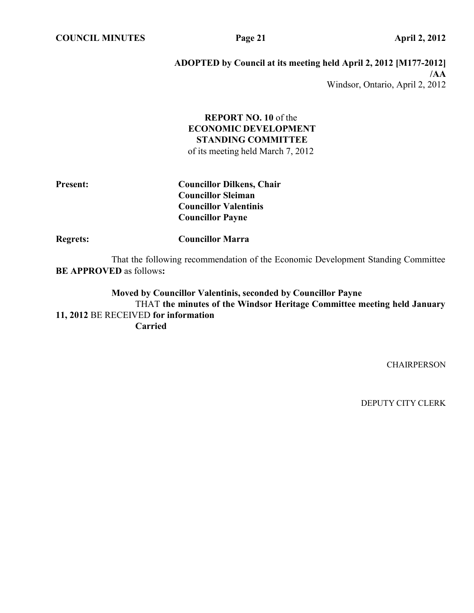**COUNCIL MINUTES Page 21 April 2, 2012**

## **ADOPTED by Council at its meeting held April 2, 2012 [M177-2012] /AA** Windsor, Ontario, April 2, 2012

# **REPORT NO. 10** of the **ECONOMIC DEVELOPMENT STANDING COMMITTEE**

of its meeting held March 7, 2012

**Present: Councillor Dilkens, Chair Councillor Sleiman Councillor Valentinis Councillor Payne**

**Regrets: Councillor Marra**

That the following recommendation of the Economic Development Standing Committee **BE APPROVED** as follows**:**

**Moved by Councillor Valentinis, seconded by Councillor Payne** THAT **the minutes of the Windsor Heritage Committee meeting held January 11, 2012** BE RECEIVED **for information Carried**

**CHAIRPERSON**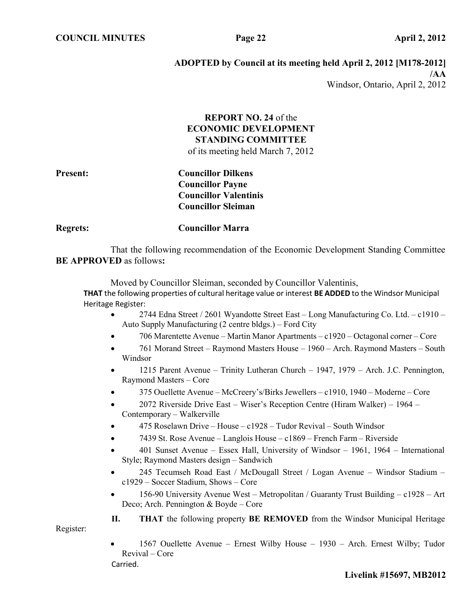Register:

# **ADOPTED by Council at its meeting held April 2, 2012 [M178-2012] /AA** Windsor, Ontario, April 2, 2012

# **REPORT NO. 24** of the **ECONOMIC DEVELOPMENT STANDING COMMITTEE**

of its meeting held March 7, 2012

**Present: Councillor Dilkens Councillor Payne Councillor Valentinis Councillor Sleiman**

**Regrets: Councillor Marra**

That the following recommendation of the Economic Development Standing Committee **BE APPROVED** as follows**:**

Moved by Councillor Sleiman, seconded by Councillor Valentinis, **THAT** the following properties of cultural heritage value or interest **BE ADDED** to the Windsor Municipal Heritage Register:

- 2744 Edna Street / 2601 Wyandotte Street East Long Manufacturing Co. Ltd. c1910 Auto Supply Manufacturing (2 centre bldgs.) – Ford City
- 706 Marentette Avenue Martin Manor Apartments c1920 Octagonal corner Core
- 761 Morand Street Raymond Masters House 1960 Arch. Raymond Masters South Windsor
- 1215 Parent Avenue Trinity Lutheran Church 1947, 1979 Arch. J.C. Pennington, Raymond Masters – Core
- 375 Ouellette Avenue McCreery's/Birks Jewellers c1910, 1940 Moderne Core
- 2072 Riverside Drive East Wiser's Reception Centre (Hiram Walker) 1964 Contemporary – Walkerville
- 475 Roselawn Drive House c1928 Tudor Revival South Windsor
- 7439 St. Rose Avenue Langlois House c1869 French Farm Riverside
- 401 Sunset Avenue Essex Hall, University of Windsor 1961, 1964 International Style; Raymond Masters design – Sandwich
- 245 Tecumseh Road East / McDougall Street / Logan Avenue Windsor Stadium c1929 – Soccer Stadium, Shows – Core
- 156-90 University Avenue West Metropolitan / Guaranty Trust Building c1928 Art Deco; Arch. Pennington & Boyde – Core

**II. THAT** the following property **BE REMOVED** from the Windsor Municipal Heritage

• 1567 Ouellette Avenue – Ernest Wilby House – 1930 – Arch. Ernest Wilby; Tudor Revival – Core Carried.

**Livelink #15697, MB2012**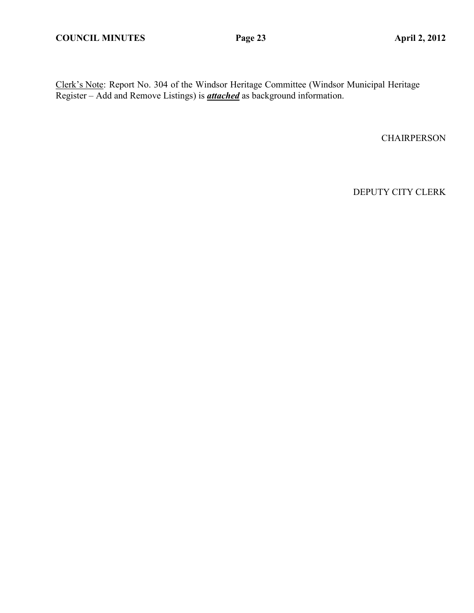Clerk's Note: Report No. 304 of the Windsor Heritage Committee (Windsor Municipal Heritage Register – Add and Remove Listings) is *attached* as background information.

**CHAIRPERSON**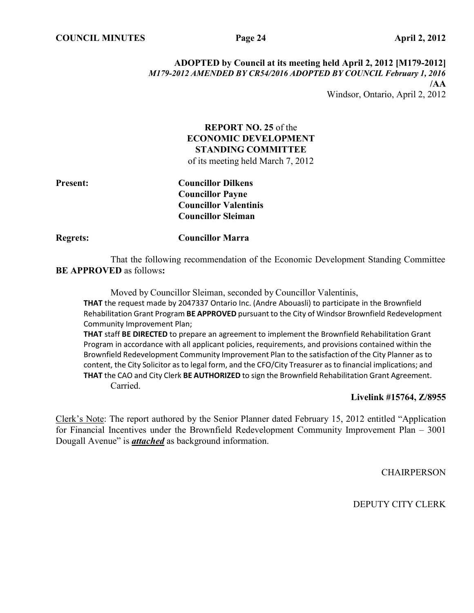## **ADOPTED by Council at its meeting held April 2, 2012 [M179-2012]** *M179-2012 AMENDED BY CR54/2016 ADOPTED BY COUNCIL February 1, 2016* **/AA** Windsor, Ontario, April 2, 2012

# **REPORT NO. 25** of the **ECONOMIC DEVELOPMENT STANDING COMMITTEE**

of its meeting held March 7, 2012

**Present: Councillor Dilkens Councillor Payne Councillor Valentinis Councillor Sleiman**

**Regrets: Councillor Marra**

That the following recommendation of the Economic Development Standing Committee **BE APPROVED** as follows**:**

Moved by Councillor Sleiman, seconded by Councillor Valentinis,

**THAT** the request made by 2047337 Ontario Inc. (Andre Abouasli) to participate in the Brownfield Rehabilitation Grant Program **BE APPROVED** pursuant to the City of Windsor Brownfield Redevelopment Community Improvement Plan;

**THAT** staff **BE DIRECTED** to prepare an agreement to implement the Brownfield Rehabilitation Grant Program in accordance with all applicant policies, requirements, and provisions contained within the Brownfield Redevelopment Community Improvement Plan to the satisfaction of the City Planner asto content, the City Solicitor as to legal form, and the CFO/City Treasurer as to financial implications; and **THAT** the CAO and City Clerk **BE AUTHORIZED** to sign the Brownfield Rehabilitation Grant Agreement. Carried.

# **Livelink #15764, Z/8955**

Clerk's Note: The report authored by the Senior Planner dated February 15, 2012 entitled "Application for Financial Incentives under the Brownfield Redevelopment Community Improvement Plan – 3001 Dougall Avenue" is *attached* as background information.

**CHAIRPERSON**